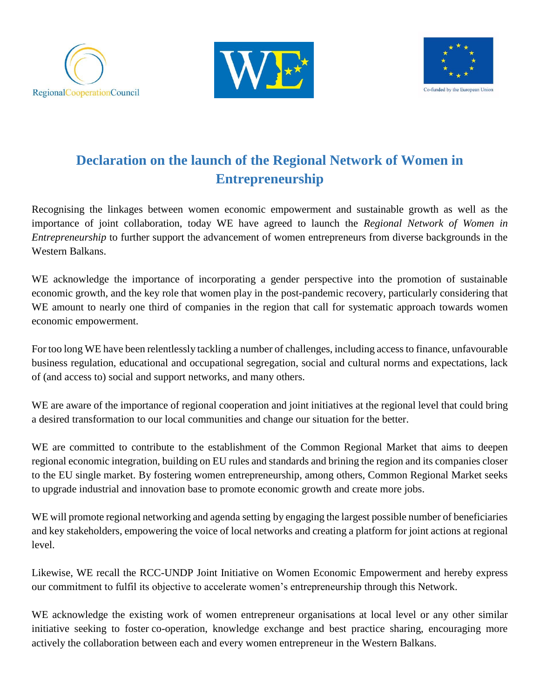





## **Declaration on the launch of the Regional Network of Women in Entrepreneurship**

Recognising the linkages between women economic empowerment and sustainable growth as well as the importance of joint collaboration, today WE have agreed to launch the *Regional Network of Women in Entrepreneurship* to further support the advancement of women entrepreneurs from diverse backgrounds in the Western Balkans.

WE acknowledge the importance of incorporating a gender perspective into the promotion of sustainable economic growth, and the key role that women play in the post-pandemic recovery, particularly considering that WE amount to nearly one third of companies in the region that call for systematic approach towards women economic empowerment.

For too long WE have been relentlessly tackling a number of challenges, including access to finance, unfavourable business regulation, educational and occupational segregation, social and cultural norms and expectations, lack of (and access to) social and support networks, and many others.

WE are aware of the importance of regional cooperation and joint initiatives at the regional level that could bring a desired transformation to our local communities and change our situation for the better.

WE are committed to contribute to the establishment of the Common Regional Market that aims to deepen regional economic integration, building on EU rules and standards and brining the region and its companies closer to the EU single market. By fostering women entrepreneurship, among others, Common Regional Market seeks to upgrade industrial and innovation base to promote economic growth and create more jobs.

WE will promote regional networking and agenda setting by engaging the largest possible number of beneficiaries and key stakeholders, empowering the voice of local networks and creating a platform for joint actions at regional level.

Likewise, WE recall the RCC-UNDP Joint Initiative on Women Economic Empowerment and hereby express our commitment to fulfil its objective to accelerate women's entrepreneurship through this Network.

WE acknowledge the existing work of women entrepreneur organisations at local level or any other similar initiative seeking to foster co-operation, knowledge exchange and best practice sharing, encouraging more actively the collaboration between each and every women entrepreneur in the Western Balkans.